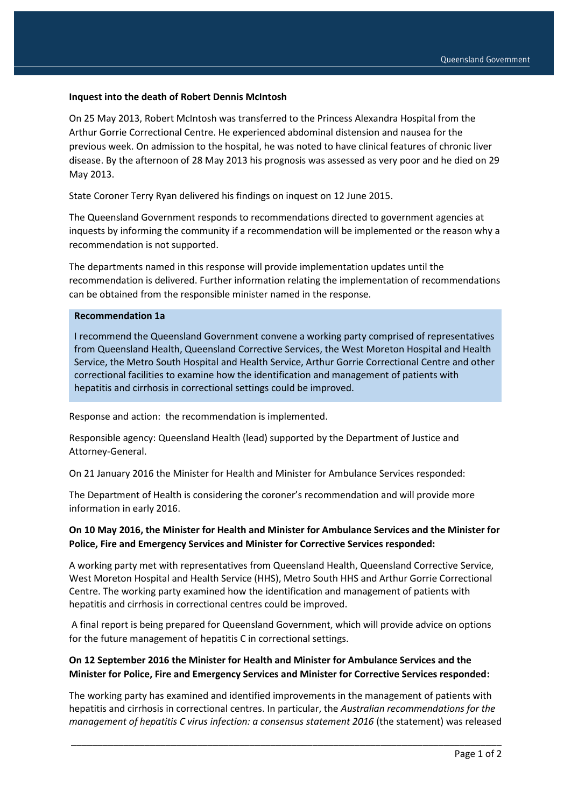#### **Inquest into the death of Robert Dennis McIntosh**

On 25 May 2013, Robert McIntosh was transferred to the Princess Alexandra Hospital from the Arthur Gorrie Correctional Centre. He experienced abdominal distension and nausea for the previous week. On admission to the hospital, he was noted to have clinical features of chronic liver disease. By the afternoon of 28 May 2013 his prognosis was assessed as very poor and he died on 29 May 2013.

State Coroner Terry Ryan delivered his findings on inquest on 12 June 2015.

The Queensland Government responds to recommendations directed to government agencies at inquests by informing the community if a recommendation will be implemented or the reason why a recommendation is not supported.

The departments named in this response will provide implementation updates until the recommendation is delivered. Further information relating the implementation of recommendations can be obtained from the responsible minister named in the response.

#### **Recommendation 1a**

I recommend the Queensland Government convene a working party comprised of representatives from Queensland Health, Queensland Corrective Services, the West Moreton Hospital and Health Service, the Metro South Hospital and Health Service, Arthur Gorrie Correctional Centre and other correctional facilities to examine how the identification and management of patients with hepatitis and cirrhosis in correctional settings could be improved.

Response and action: the recommendation is implemented.

Responsible agency: Queensland Health (lead) supported by the Department of Justice and Attorney-General.

On 21 January 2016 the Minister for Health and Minister for Ambulance Services responded:

The Department of Health is considering the coroner's recommendation and will provide more information in early 2016.

## **On 10 May 2016, the Minister for Health and Minister for Ambulance Services and the Minister for Police, Fire and Emergency Services and Minister for Corrective Services responded:**

A working party met with representatives from Queensland Health, Queensland Corrective Service, West Moreton Hospital and Health Service (HHS), Metro South HHS and Arthur Gorrie Correctional Centre. The working party examined how the identification and management of patients with hepatitis and cirrhosis in correctional centres could be improved.

A final report is being prepared for Queensland Government, which will provide advice on options for the future management of hepatitis C in correctional settings.

## **On 12 September 2016 the Minister for Health and Minister for Ambulance Services and the Minister for Police, Fire and Emergency Services and Minister for Corrective Services responded:**

The working party has examined and identified improvements in the management of patients with hepatitis and cirrhosis in correctional centres. In particular, the *Australian recommendations for the management of hepatitis C virus infection: a consensus statement 2016* (the statement) was released

\_\_\_\_\_\_\_\_\_\_\_\_\_\_\_\_\_\_\_\_\_\_\_\_\_\_\_\_\_\_\_\_\_\_\_\_\_\_\_\_\_\_\_\_\_\_\_\_\_\_\_\_\_\_\_\_\_\_\_\_\_\_\_\_\_\_\_\_\_\_\_\_\_\_\_\_\_\_\_\_\_\_